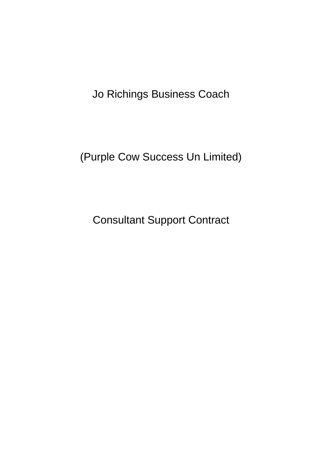Jo Richings Business Coach

(Purple Cow Success Un Limited)

Consultant Support Contract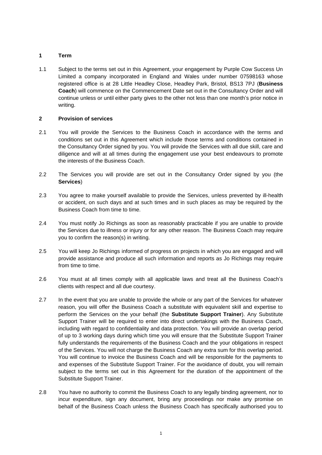# **1 Term**

1.1 Subject to the terms set out in this Agreement, your engagement by Purple Cow Success Un Limited a company incorporated in England and Wales under number 07598163 whose registered office is at 28 Little Headley Close, Headley Park, Bristol, BS13 7PJ (**Business Coach**) will commence on the Commencement Date set out in the Consultancy Order and will continue unless or until either party gives to the other not less than one month's prior notice in writing.

## <span id="page-1-0"></span>**2 Provision of services**

- 2.1 You will provide the Services to the Business Coach in accordance with the terms and conditions set out in this Agreement which include those terms and conditions contained in the Consultancy Order signed by you. You will provide the Services with all due skill, care and diligence and will at all times during the engagement use your best endeavours to promote the interests of the Business Coach.
- 2.2 The Services you will provide are set out in the Consultancy Order signed by you (the **Services**)
- 2.3 You agree to make yourself available to provide the Services, unless prevented by ill-health or accident, on such days and at such times and in such places as may be required by the Business Coach from time to time.
- 2.4 You must notify Jo Richings as soon as reasonably practicable if you are unable to provide the Services due to illness or injury or for any other reason. The Business Coach may require you to confirm the reason(s) in writing.
- 2.5 You will keep Jo Richings informed of progress on projects in which you are engaged and will provide assistance and produce all such information and reports as Jo Richings may require from time to time.
- 2.6 You must at all times comply with all applicable laws and treat all the Business Coach's clients with respect and all due courtesy.
- 2.7 In the event that you are unable to provide the whole or any part of the Services for whatever reason, you will offer the Business Coach a substitute with equivalent skill and expertise to perform the Services on the your behalf (the **Substitute Support Trainer**). Any Substitute Support Trainer will be required to enter into direct undertakings with the Business Coach, including with regard to confidentiality and data protection. You will provide an overlap period of up to 3 working days during which time you will ensure that the Substitute Support Trainer fully understands the requirements of the Business Coach and the your obligations in respect of the Services. You will not charge the Business Coach any extra sum for this overlap period. You will continue to invoice the Business Coach and will be responsible for the payments to and expenses of the Substitute Support Trainer. For the avoidance of doubt, you will remain subject to the terms set out in this Agreement for the duration of the appointment of the Substitute Support Trainer.
- 2.8 You have no authority to commit the Business Coach to any legally binding agreement, nor to incur expenditure, sign any document, bring any proceedings nor make any promise on behalf of the Business Coach unless the Business Coach has specifically authorised you to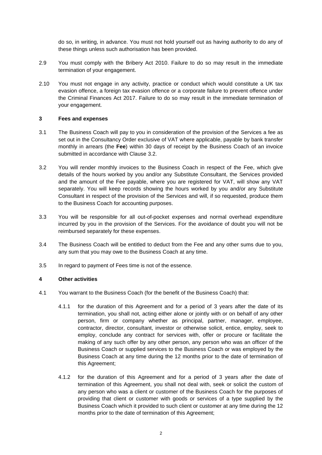do so, in writing, in advance. You must not hold yourself out as having authority to do any of these things unless such authorisation has been provided.

- 2.9 You must comply with the Bribery Act 2010. Failure to do so may result in the immediate termination of your engagement.
- 2.10 You must not engage in any activity, practice or conduct which would constitute a UK tax evasion offence, a foreign tax evasion offence or a corporate failure to prevent offence under the Criminal Finances Act 2017. Failure to do so may result in the immediate termination of your engagement.

### **3 Fees and expenses**

- 3.1 The Business Coach will pay to you in consideration of the provision of the Services a fee as set out in the Consultancy Order exclusive of VAT where applicable, payable by bank transfer monthly in arrears (the **Fee**) within 30 days of receipt by the Business Coach of an invoice submitted in accordance with Clause [3.2.](#page-2-0)
- 3.2 You will render monthly invoices to the Business Coach in respect of the Fee, which give details of the hours worked by you and/or any Substitute Consultant, the Services provided and the amount of the Fee payable, where you are registered for VAT, will show any VAT separately. You will keep records showing the hours worked by you and/or any Substitute Consultant in respect of the provision of the Services and will, if so requested, produce them to the Business Coach for accounting purposes.
- <span id="page-2-0"></span>3.3 You will be responsible for all out-of-pocket expenses and normal overhead expenditure incurred by you in the provision of the Services. For the avoidance of doubt you will not be reimbursed separately for these expenses.
- 3.4 The Business Coach will be entitled to deduct from the Fee and any other sums due to you, any sum that you may owe to the Business Coach at any time.
- 3.5 In regard to payment of Fees time is not of the essence.

## **4 Other activities**

- 4.1 You warrant to the Business Coach (for the benefit of the Business Coach) that:
	- 4.1.1 for the duration of this Agreement and for a period of 3 years after the date of its termination, you shall not, acting either alone or jointly with or on behalf of any other person, firm or company whether as principal, partner, manager, employee, contractor, director, consultant, investor or otherwise solicit, entice, employ, seek to employ, conclude any contract for services with, offer or procure or facilitate the making of any such offer by any other person, any person who was an officer of the Business Coach or supplied services to the Business Coach or was employed by the Business Coach at any time during the 12 months prior to the date of termination of this Agreement;
	- 4.1.2 for the duration of this Agreement and for a period of 3 years after the date of termination of this Agreement, you shall not deal with, seek or solicit the custom of any person who was a client or customer of the Business Coach for the purposes of providing that client or customer with goods or services of a type supplied by the Business Coach which it provided to such client or customer at any time during the 12 months prior to the date of termination of this Agreement;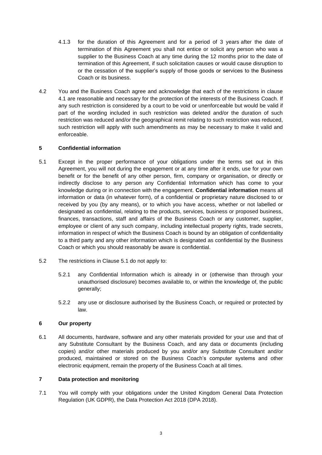- 4.1.3 for the duration of this Agreement and for a period of 3 years after the date of termination of this Agreement you shall not entice or solicit any person who was a supplier to the Business Coach at any time during the 12 months prior to the date of termination of this Agreement, if such solicitation causes or would cause disruption to or the cessation of the supplier's supply of those goods or services to the Business Coach or its business.
- 4.2 You and the Business Coach agree and acknowledge that each of the restrictions in clause 4.1 are reasonable and necessary for the protection of the interests of the Business Coach. If any such restriction is considered by a court to be void or unenforceable but would be valid if part of the wording included in such restriction was deleted and/or the duration of such restriction was reduced and/or the geographical remit relating to such restriction was reduced, such restriction will apply with such amendments as may be necessary to make it valid and enforceable.

# **5 Confidential information**

- 5.1 Except in the proper performance of your obligations under the terms set out in this Agreement, you will not during the engagement or at any time after it ends, use for your own benefit or for the benefit of any other person, firm, company or organisation, or directly or indirectly disclose to any person any Confidential Information which has come to your knowledge during or in connection with the engagement. **Confidential information** means all information or data (in whatever form), of a confidential or proprietary nature disclosed to or received by you (by any means), or to which you have access, whether or not labelled or designated as confidential, relating to the products, services, business or proposed business, finances, transactions, staff and affairs of the Business Coach or any customer, supplier, employee or client of any such company, including intellectual property rights, trade secrets, information in respect of which the Business Coach is bound by an obligation of confidentiality to a third party and any other information which is designated as confidential by the Business Coach or which you should reasonably be aware is confidential.
- <span id="page-3-0"></span>5.2 The restrictions in Clause [5.1](#page-3-0) do not apply to:
	- 5.2.1 any Confidential Information which is already in or (otherwise than through your unauthorised disclosure) becomes available to, or within the knowledge of, the public generally;
	- 5.2.2 any use or disclosure authorised by the Business Coach, or required or protected by law.

## **6 Our property**

6.1 All documents, hardware, software and any other materials provided for your use and that of any Substitute Consultant by the Business Coach, and any data or documents (including copies) and/or other materials produced by you and/or any Substitute Consultant and/or produced, maintained or stored on the Business Coach's computer systems and other electronic equipment, remain the property of the Business Coach at all times.

## <span id="page-3-1"></span>**7 Data protection and monitoring**

7.1 You will comply with your obligations under the United Kingdom General Data Protection Regulation (UK GDPR), the Data Protection Act 2018 (DPA 2018).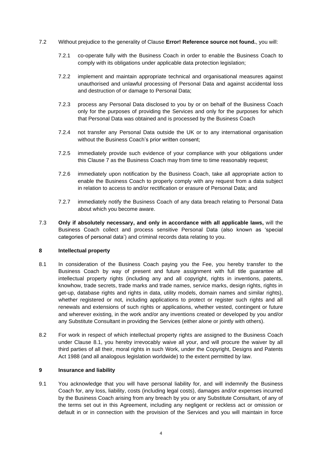- 7.2 Without prejudice to the generality of Clause **Error! Reference source not found.**, you will:
	- 7.2.1 co-operate fully with the Business Coach in order to enable the Business Coach to comply with its obligations under applicable data protection legislation;
	- 7.2.2 implement and maintain appropriate technical and organisational measures against unauthorised and unlawful processing of Personal Data and against accidental loss and destruction of or damage to Personal Data;
	- 7.2.3 process any Personal Data disclosed to you by or on behalf of the Business Coach only for the purposes of providing the Services and only for the purposes for which that Personal Data was obtained and is processed by the Business Coach
	- 7.2.4 not transfer any Personal Data outside the UK or to any international organisation without the Business Coach's prior written consent;
	- 7.2.5 immediately provide such evidence of your compliance with your obligations under this Clause [7](#page-3-1) as the Business Coach may from time to time reasonably request;
	- 7.2.6 immediately upon notification by the Business Coach, take all appropriate action to enable the Business Coach to properly comply with any request from a data subject in relation to access to and/or rectification or erasure of Personal Data; and
	- 7.2.7 immediately notify the Business Coach of any data breach relating to Personal Data about which you become aware.
- 7.3 **Only if absolutely necessary, and only in accordance with all applicable laws,** will the Business Coach collect and process sensitive Personal Data (also known as 'special categories of personal data') and criminal records data relating to you.

#### **8 Intellectual property**

- 8.1 In consideration of the Business Coach paying you the Fee, you hereby transfer to the Business Coach by way of present and future assignment with full title guarantee all intellectual property rights (including any and all copyright, rights in inventions, patents, knowhow, trade secrets, trade marks and trade names, service marks, design rights, rights in get-up, database rights and rights in data, utility models, domain names and similar rights), whether registered or not, including applications to protect or register such rights and all renewals and extensions of such rights or applications, whether vested, contingent or future and wherever existing, in the work and/or any inventions created or developed by you and/or any Substitute Consultant in providing the Services (either alone or jointly with others).
- <span id="page-4-0"></span>8.2 For work in respect of which intellectual property rights are assigned to the Business Coach under Clause [8.1,](#page-4-0) you hereby irrevocably waive all your, and will procure the waiver by all third parties of all their, moral rights in such Work, under the Copyright, Designs and Patents Act 1988 (and all analogous legislation worldwide) to the extent permitted by law.

### **9 Insurance and liability**

9.1 You acknowledge that you will have personal liability for, and will indemnify the Business Coach for, any loss, liability, costs (including legal costs), damages and/or expenses incurred by the Business Coach arising from any breach by you or any Substitute Consultant, of any of the terms set out in this Agreement, including any negligent or reckless act or omission or default in or in connection with the provision of the Services and you will maintain in force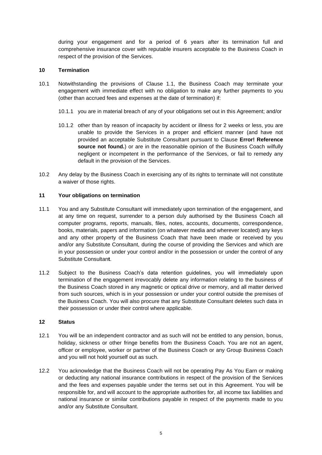during your engagement and for a period of 6 years after its termination full and comprehensive insurance cover with reputable insurers acceptable to the Business Coach in respect of the provision of the Services.

## **10 Termination**

- 10.1 Notwithstanding the provisions of Clause [1.1,](#page-1-0) the Business Coach may terminate your engagement with immediate effect with no obligation to make any further payments to you (other than accrued fees and expenses at the date of termination) if:
	- 10.1.1 you are in material breach of any of your obligations set out in this Agreement; and/or
	- 10.1.2 other than by reason of incapacity by accident or illness for 2 weeks or less, you are unable to provide the Services in a proper and efficient manner (and have not provided an acceptable Substitute Consultant pursuant to Clause **Error! Reference**  source not found.) or are in the reasonable opinion of the Business Coach wilfully negligent or incompetent in the performance of the Services, or fail to remedy any default in the provision of the Services.
- 10.2 Any delay by the Business Coach in exercising any of its rights to terminate will not constitute a waiver of those rights.

### **11 Your obligations on termination**

- 11.1 You and any Substitute Consultant will immediately upon termination of the engagement, and at any time on request, surrender to a person duly authorised by the Business Coach all computer programs, reports, manuals, files, notes, accounts, documents, correspondence, books, materials, papers and information (on whatever media and wherever located) any keys and any other property of the Business Coach that have been made or received by you and/or any Substitute Consultant, during the course of providing the Services and which are in your possession or under your control and/or in the possession or under the control of any Substitute Consultan**t**.
- 11.2 Subject to the Business Coach's data retention guidelines, you will immediately upon termination of the engagement irrevocably delete any information relating to the business of the Business Coach stored in any magnetic or optical drive or memory, and all matter derived from such sources, which is in your possession or under your control outside the premises of the Business Coach. You will also procure that any Substitute Consultant deletes such data in their possession or under their control where applicable.

### **12 Status**

- 12.1 You will be an independent contractor and as such will not be entitled to any pension, bonus, holiday, sickness or other fringe benefits from the Business Coach. You are not an agent, officer or employee, worker or partner of the Business Coach or any Group Business Coach and you will not hold yourself out as such.
- 12.2 You acknowledge that the Business Coach will not be operating Pay As You Earn or making or deducting any national insurance contributions in respect of the provision of the Services and the fees and expenses payable under the terms set out in this Agreement. You will be responsible for, and will account to the appropriate authorities for, all income tax liabilities and national insurance or similar contributions payable in respect of the payments made to you and/or any Substitute Consultant.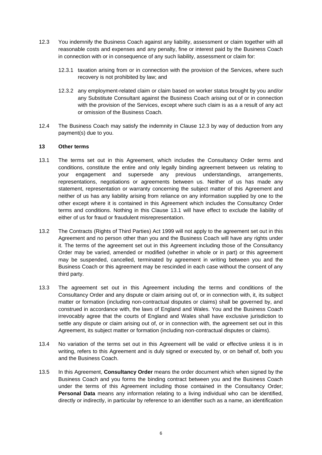- <span id="page-6-0"></span>12.3 You indemnify the Business Coach against any liability, assessment or claim together with all reasonable costs and expenses and any penalty, fine or interest paid by the Business Coach in connection with or in consequence of any such liability, assessment or claim for:
	- 12.3.1 taxation arising from or in connection with the provision of the Services, where such recovery is not prohibited by law; and
	- 12.3.2 any employment-related claim or claim based on worker status brought by you and/or any Substitute Consultant against the Business Coach arising out of or in connection with the provision of the Services, except where such claim is as a a result of any act or omission of the Business Coach.
- 12.4 The Business Coach may satisfy the indemnity in Clause [12.3](#page-6-0) by way of deduction from any payment(s) due to you.

## **13 Other terms**

- 13.1 The terms set out in this Agreement, which includes the Consultancy Order terms and conditions, constitute the entire and only legally binding agreement between us relating to your engagement and supersede any previous understandings, arrangements, representations, negotiations or agreements between us. Neither of us has made any statement, representation or warranty concerning the subject matter of this Agreement and neither of us has any liability arising from reliance on any information supplied by one to the other except where it is contained in this Agreement which includes the Consultancy Order terms and conditions. Nothing in this Clause [13.1](#page-6-1) will have effect to exclude the liability of either of us for fraud or fraudulent misrepresentation.
- <span id="page-6-1"></span>13.2 The Contracts (Rights of Third Parties) Act 1999 will not apply to the agreement set out in this Agreement and no person other than you and the Business Coach will have any rights under it. The terms of the agreement set out in this Agreement including those of the Consultancy Order may be varied, amended or modified (whether in whole or in part) or this agreement may be suspended, cancelled, terminated by agreement in writing between you and the Business Coach or this agreement may be rescinded in each case without the consent of any third party.
- 13.3 The agreement set out in this Agreement including the terms and conditions of the Consultancy Order and any dispute or claim arising out of, or in connection with, it, its subject matter or formation (including non-contractual disputes or claims) shall be governed by, and construed in accordance with, the laws of England and Wales. You and the Business Coach irrevocably agree that the courts of England and Wales shall have exclusive jurisdiction to settle any dispute or claim arising out of, or in connection with, the agreement set out in this Agreement, its subject matter or formation (including non-contractual disputes or claims).
- 13.4 No variation of the terms set out in this Agreement will be valid or effective unless it is in writing, refers to this Agreement and is duly signed or executed by, or on behalf of, both you and the Business Coach.
- 13.5 In this Agreement, **Consultancy Order** means the order document which when signed by the Business Coach and you forms the binding contract between you and the Business Coach under the terms of this Agreement including those contained in the Consultancy Order; **Personal Data** means any information relating to a living individual who can be identified, directly or indirectly, in particular by reference to an identifier such as a name, an identification